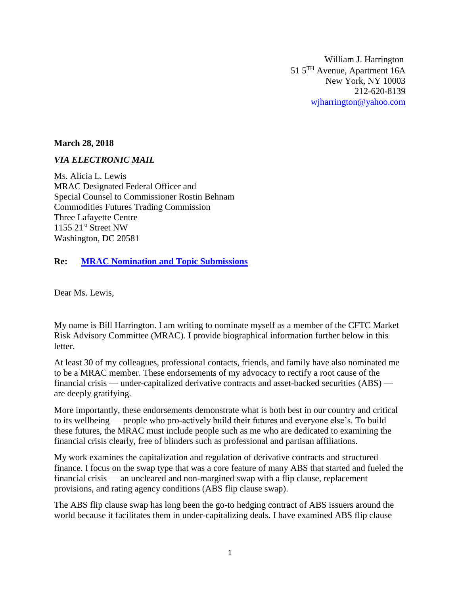William J. Harrington 51 5<sup>TH</sup> Avenue, Apartment 16A New York, NY 10003 212-620-8139 [wjharrington@yahoo.com](mailto:wjharrington@yahoo.com)

### **March 28, 2018**

#### *VIA ELECTRONIC MAIL*

Ms. Alicia L. Lewis MRAC Designated Federal Officer and Special Counsel to Commissioner Rostin Behnam Commodities Futures Trading Commission Three Lafayette Centre 1155 21st Street NW Washington, DC 20581

#### **Re: [MRAC Nomination and Topic Submissions](https://www.cftc.gov/sites/default/files/idc/groups/public/@lrfederalregister/documents/file/2018-05271a.pdf)**

Dear Ms. Lewis,

My name is Bill Harrington. I am writing to nominate myself as a member of the CFTC Market Risk Advisory Committee (MRAC). I provide biographical information further below in this letter.

At least 30 of my colleagues, professional contacts, friends, and family have also nominated me to be a MRAC member. These endorsements of my advocacy to rectify a root cause of the financial crisis — under-capitalized derivative contracts and asset-backed securities (ABS) are deeply gratifying.

More importantly, these endorsements demonstrate what is both best in our country and critical to its wellbeing — people who pro-actively build their futures and everyone else's. To build these futures, the MRAC must include people such as me who are dedicated to examining the financial crisis clearly, free of blinders such as professional and partisan affiliations.

My work examines the capitalization and regulation of derivative contracts and structured finance. I focus on the swap type that was a core feature of many ABS that started and fueled the financial crisis — an uncleared and non-margined swap with a flip clause, replacement provisions, and rating agency conditions (ABS flip clause swap).

The ABS flip clause swap has long been the go-to hedging contract of ABS issuers around the world because it facilitates them in under-capitalizing deals. I have examined ABS flip clause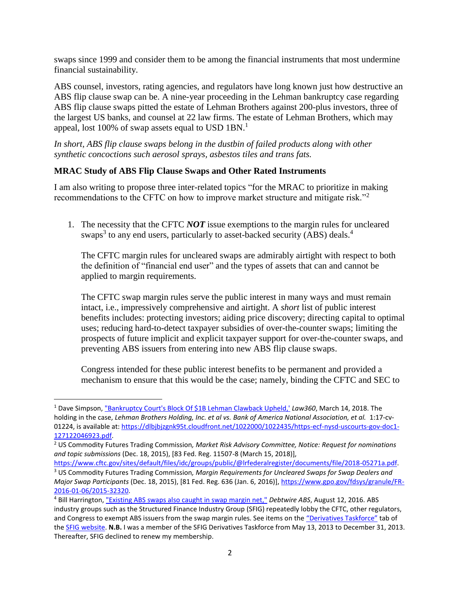swaps since 1999 and consider them to be among the financial instruments that most undermine financial sustainability.

ABS counsel, investors, rating agencies, and regulators have long known just how destructive an ABS flip clause swap can be. A nine-year proceeding in the Lehman bankruptcy case regarding ABS flip clause swaps pitted the estate of Lehman Brothers against 200-plus investors, three of the largest US banks, and counsel at 22 law firms. The estate of Lehman Brothers, which may appeal, lost 100% of swap assets equal to USD 1BN.<sup>1</sup>

*In short, ABS flip clause swaps belong in the dustbin of failed products along with other synthetic concoctions such aerosol sprays, asbestos tiles and trans fats.*

# **MRAC Study of ABS Flip Clause Swaps and Other Rated Instruments**

I am also writing to propose three inter-related topics "for the MRAC to prioritize in making recommendations to the CFTC on how to improve market structure and mitigate risk."<sup>2</sup>

1. The necessity that the CFTC *NOT* issue exemptions to the margin rules for uncleared swaps<sup>3</sup> to any end users, particularly to asset-backed security (ABS) deals.<sup>4</sup>

The CFTC margin rules for uncleared swaps are admirably airtight with respect to both the definition of "financial end user" and the types of assets that can and cannot be applied to margin requirements.

The CFTC swap margin rules serve the public interest in many ways and must remain intact, i.e., impressively comprehensive and airtight. A *short* list of public interest benefits includes: protecting investors; aiding price discovery; directing capital to optimal uses; reducing hard-to-detect taxpayer subsidies of over-the-counter swaps; limiting the prospects of future implicit and explicit taxpayer support for over-the-counter swaps, and preventing ABS issuers from entering into new ABS flip clause swaps.

Congress intended for these public interest benefits to be permanent and provided a mechanism to ensure that this would be the case; namely, binding the CFTC and SEC to

 $\overline{a}$ 

[https://www.cftc.gov/sites/default/files/idc/groups/public/@lrfederalregister/documents/file/2018-05271a.pdf.](https://www.cftc.gov/sites/default/files/idc/groups/public/@lrfederalregister/documents/file/2018-05271a.pdf) <sup>3</sup> US Commodity Futures Trading Commission*, Margin Requirements for Uncleared Swaps for Swap Dealers and* 

<sup>1</sup> Dave Simpson[, "Bankruptcy Court's Block Of \\$1B Lehman Clawback Upheld,'](https://www.law360.com/articles/1022435) *Law360*, March 14, 2018. The holding in the case, *Lehman Brothers Holding, Inc. et al vs. Bank of America National Association, et al.* 1:17-cv-01224, is available at: [https://dlbjbjzgnk95t.cloudfront.net/1022000/1022435/https-ecf-nysd-uscourts-gov-doc1-](https://dlbjbjzgnk95t.cloudfront.net/1022000/1022435/https-ecf-nysd-uscourts-gov-doc1-127122046923.pdf) [127122046923.pdf.](https://dlbjbjzgnk95t.cloudfront.net/1022000/1022435/https-ecf-nysd-uscourts-gov-doc1-127122046923.pdf)

<sup>2</sup> US Commodity Futures Trading Commission*, Market Risk Advisory Committee, Notice: Request for nominations and topic submissions* (Dec. 18, 2015), [83 Fed. Reg. 11507-8 (March 15, 2018)],

*Major Swap Participants* (Dec. 18, 2015), [81 Fed. Reg. 636 (Jan. 6, 2016)], [https://www.gpo.gov/fdsys/granule/FR-](https://www.gpo.gov/fdsys/granule/FR-2016-01-06/2015-32320)[2016-01-06/2015-32320.](https://www.gpo.gov/fdsys/granule/FR-2016-01-06/2015-32320)

<sup>4</sup> Bill Harrington, ["Existing ABS swaps also caught in swap margin net,"](https://www.debtwire.com/info/existing-abs-swaps-also-caught-swap-margin-net-%E2%80%94-analysis) *Debtwire ABS*, August 12, 2016. ABS industry groups such as the Structured Finance Industry Group (SFIG) repeatedly lobby the CFTC, other regulators, and Congress to exempt ABS issuers from the swap margin rules. See items on the ["Derivatives Taskforce"](http://www.sfindustry.org/advocacy/categories/C52) tab of the [SFIG website.](http://www.sfindustry.org/) **N.B.** I was a member of the SFIG Derivatives Taskforce from May 13, 2013 to December 31, 2013. Thereafter, SFIG declined to renew my membership.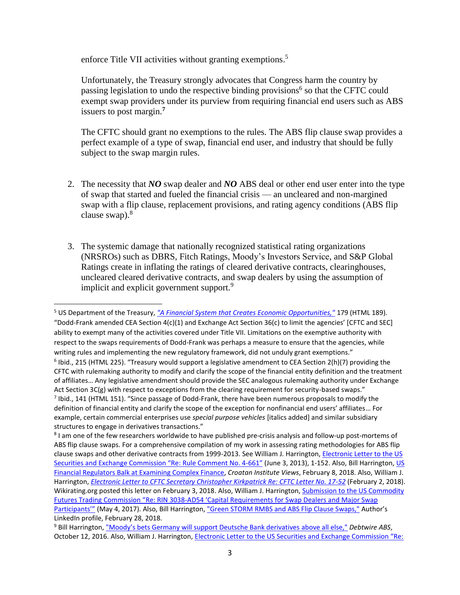enforce Title VII activities without granting exemptions.<sup>5</sup>

 $\overline{\phantom{a}}$ 

Unfortunately, the Treasury strongly advocates that Congress harm the country by passing legislation to undo the respective binding provisions<sup>6</sup> so that the CFTC could exempt swap providers under its purview from requiring financial end users such as ABS issuers to post margin.**<sup>7</sup>**

The CFTC should grant no exemptions to the rules. The ABS flip clause swap provides a perfect example of a type of swap, financial end user, and industry that should be fully subject to the swap margin rules.

- 2. The necessity that *NO* swap dealer and *NO* ABS deal or other end user enter into the type of swap that started and fueled the financial crisis — an uncleared and non-margined swap with a flip clause, replacement provisions, and rating agency conditions (ABS flip clause swap).<sup>8</sup>
- 3. The systemic damage that nationally recognized statistical rating organizations (NRSROs) such as DBRS, Fitch Ratings, Moody's Investors Service, and S&P Global Ratings create in inflating the ratings of cleared derivative contracts, clearinghouses, uncleared cleared derivative contracts, and swap dealers by using the assumption of implicit and explicit government support.<sup>9</sup>

<sup>5</sup> US Department of the Treasury, *["A Financial System that Creates Economic Opportunities,"](https://www.treasury.gov/press-center/press-releases/Documents/A-Financial-System-Capital-Markets-FINAL-FINAL.pdf)* 179 (HTML 189). "Dodd-Frank amended CEA Section 4(c)(1) and Exchange Act Section 36(c) to limit the agencies' [CFTC and SEC] ability to exempt many of the activities covered under Title VII. Limitations on the exemptive authority with respect to the swaps requirements of Dodd-Frank was perhaps a measure to ensure that the agencies, while writing rules and implementing the new regulatory framework, did not unduly grant exemptions." <sup>6</sup> Ibid., 215 (HTML 225). "Treasury would support a legislative amendment to CEA Section 2(h)(7) providing the CFTC with rulemaking authority to modify and clarify the scope of the financial entity definition and the treatment of affiliates… Any legislative amendment should provide the SEC analogous rulemaking authority under Exchange Act Section 3C(g) with respect to exceptions from the clearing requirement for security-based swaps." <sup>7</sup> Ibid., 141 (HTML 151). "Since passage of Dodd-Frank, there have been numerous proposals to modify the definition of financial entity and clarify the scope of the exception for nonfinancial end users' affiliates… For example, certain commercial enterprises use *special purpose vehicles* [italics added] and similar subsidiary structures to engage in derivatives transactions."

<sup>&</sup>lt;sup>8</sup> I am one of the few researchers worldwide to have published pre-crisis analysis and follow-up post-mortems of ABS flip clause swaps. For a comprehensive compilation of my work in assessing rating methodologies for ABS flip clause swaps and other derivative contracts from 1999-2013. See William J. Harrington, [Electronic Letter to the US](https://www.sec.gov/comments/4-661/4661-28.pdf)  [Securities and Exchange Commission "Re: Rule Comment No. 4](https://www.sec.gov/comments/4-661/4661-28.pdf)-661" (June 3, 2013), 1-152. Also, Bill Harrington, US [Financial Regulators Balk at Examining Complex Finance,](http://croataninstitute.org/latest/news/us-financial-regulators-balk-at-examining-complex-finance) *Croatan Institute Views*, February 8, 2018. Also, William J. Harrington, *[Electronic Letter to CFTC Secretary Christopher Kirkpatrick Re: CFTC Letter No. 17-52](http://www.wikirating.org/data/other/20180203_Harrington_J_William_31_Misrepresentations_in_CFTC%20_Letter_No_17-52.pdf)* (February 2, 2018). Wikirating.org posted this letter on February 3, 2018. Also, William J. Harrington[, Submission to the US Commodity](https://comments.cftc.gov/PublicComments/ViewComment.aspx?id=61196&SearchText)  [Futures Trading Commission "Re: RIN 3038](https://comments.cftc.gov/PublicComments/ViewComment.aspx?id=61196&SearchText)-AD54 'Capital Requirements for Swap Dealers and Major Swap [Participants'"](https://comments.cftc.gov/PublicComments/ViewComment.aspx?id=61196&SearchText) (May 4, 2017). Also, Bill Harrington[, "Green STORM RMBS and ABS Flip Clause Swaps,"](https://www.linkedin.com/pulse/green-storm-rmbs-abs-flip-clause-swaps-bill-harrington/) Author's LinkedIn profile, February 28, 2018.

<sup>9</sup> Bill Harrington, ["Moody's bets Germany will support Deutsche Bank derivatives](https://www.debtwire.com/info/moody%E2%80%99s-bets-germany-will-support-deutsche-bank-derivatives-above-all-else-%E2%80%94-analysis) above all else," *Debtwire ABS*, October 12, 2016. Also, William J. Harrington, *Electronic Letter to the US Securities and Exchange Commission* "Re: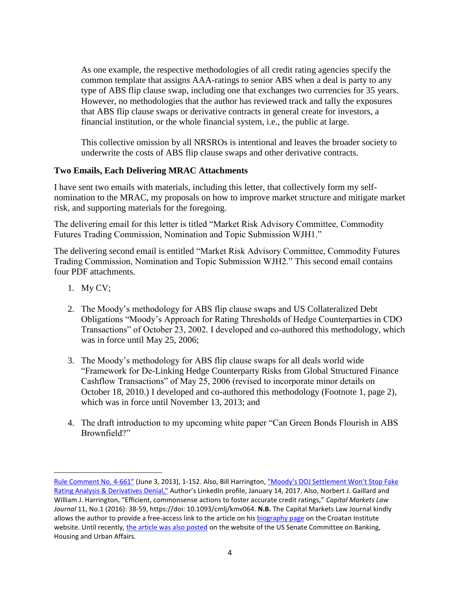As one example, the respective methodologies of all credit rating agencies specify the common template that assigns AAA-ratings to senior ABS when a deal is party to any type of ABS flip clause swap, including one that exchanges two currencies for 35 years. However, no methodologies that the author has reviewed track and tally the exposures that ABS flip clause swaps or derivative contracts in general create for investors, a financial institution, or the whole financial system, i.e., the public at large.

This collective omission by all NRSROs is intentional and leaves the broader society to underwrite the costs of ABS flip clause swaps and other derivative contracts.

## **Two Emails, Each Delivering MRAC Attachments**

I have sent two emails with materials, including this letter, that collectively form my selfnomination to the MRAC, my proposals on how to improve market structure and mitigate market risk, and supporting materials for the foregoing.

The delivering email for this letter is titled "Market Risk Advisory Committee, Commodity Futures Trading Commission, Nomination and Topic Submission WJH1."

The delivering second email is entitled "Market Risk Advisory Committee, Commodity Futures Trading Commission, Nomination and Topic Submission WJH2." This second email contains four PDF attachments.

1. My CV;

 $\overline{\phantom{a}}$ 

- 2. The Moody's methodology for ABS flip clause swaps and US Collateralized Debt Obligations "Moody's Approach for Rating Thresholds of Hedge Counterparties in CDO Transactions" of October 23, 2002. I developed and co-authored this methodology, which was in force until May 25, 2006;
- 3. The Moody's methodology for ABS flip clause swaps for all deals world wide "Framework for De-Linking Hedge Counterparty Risks from Global Structured Finance Cashflow Transactions" of May 25, 2006 (revised to incorporate minor details on October 18, 2010.) I developed and co-authored this methodology (Footnote 1, page 2), which was in force until November 13, 2013; and
- 4. The draft introduction to my upcoming white paper "Can Green Bonds Flourish in ABS Brownfield?"

[Rule Comment No. 4-](https://www.sec.gov/comments/4-661/4661-28.pdf)661" (June 3, 2013), 1-152. Also, Bill Harrington, ["Moody's DOJ Settlement Won't Stop Fake](https://www.linkedin.com/pulse/moodys-doj-settlement-wont-stop-fake-rating-analysis-bill-harrington/)  [Rating Analysis & Derivatives Denial,"](https://www.linkedin.com/pulse/moodys-doj-settlement-wont-stop-fake-rating-analysis-bill-harrington/) Author's LinkedIn profile, January 14, 2017. Also, Norbert J. Gaillard and William J. Harrington, "Efficient, commonsense actions to foster accurate credit ratings," *Capital Markets Law Journal* 11, No.1 (2016): 38-59, https://doi: 10.1093/cmlj/kmv064. **N.B.** The Capital Markets Law Journal kindly allows the author to provide a free-access link to the article on his [biography page](http://croataninstitute.org/william-j-harrington) on the Croatan Institute website. Until recently, [the article was also posted](https://www.banking.senate.gov/public/_cache/files/c7555f23-0cb0-4a05-8911-6be7a0db2f92/7383D4B9E2EED72DAC4D74037A2E6ACA.bill-harrington-submission.pdf) on the website of the US Senate Committee on Banking, Housing and Urban Affairs.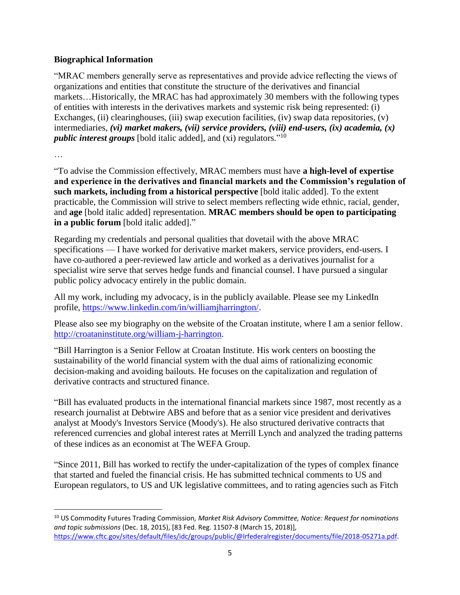## **Biographical Information**

"MRAC members generally serve as representatives and provide advice reflecting the views of organizations and entities that constitute the structure of the derivatives and financial markets…Historically, the MRAC has had approximately 30 members with the following types of entities with interests in the derivatives markets and systemic risk being represented: (i) Exchanges, (ii) clearinghouses, (iii) swap execution facilities, (iv) swap data repositories, (v) intermediaries, *(vi) market makers, (vii) service providers, (viii) end-users, (ix) academia, (x) public interest groups* [bold italic added], and (xi) regulators." 10

…

 $\overline{a}$ 

"To advise the Commission effectively, MRAC members must have **a high-level of expertise and experience in the derivatives and financial markets and the Commission's regulation of such markets, including from a historical perspective** [bold italic added]. To the extent practicable, the Commission will strive to select members reflecting wide ethnic, racial, gender, and **age** [bold italic added] representation. **MRAC members should be open to participating in a public forum** [bold italic added]."

Regarding my credentials and personal qualities that dovetail with the above MRAC specifications — I have worked for derivative market makers, service providers, end-users. I have co-authored a peer-reviewed law article and worked as a derivatives journalist for a specialist wire serve that serves hedge funds and financial counsel. I have pursued a singular public policy advocacy entirely in the public domain.

All my work, including my advocacy, is in the publicly available. Please see my LinkedIn profile, [https://www.linkedin.com/in/williamjharrington/.](https://www.linkedin.com/in/williamjharrington/)

Please also see my biography on the website of the Croatan institute, where I am a senior fellow. [http://croataninstitute.org/william-j-harrington.](http://croataninstitute.org/william-j-harrington)

"Bill Harrington is a Senior Fellow at Croatan Institute. His work centers on boosting the sustainability of the world financial system with the dual aims of rationalizing economic decision-making and avoiding bailouts. He focuses on the capitalization and regulation of derivative contracts and structured finance.

"Bill has evaluated products in the international financial markets since 1987, most recently as a research journalist at Debtwire ABS and before that as a senior vice president and derivatives analyst at Moody's Investors Service (Moody's). He also structured derivative contracts that referenced currencies and global interest rates at Merrill Lynch and analyzed the trading patterns of these indices as an economist at The WEFA Group.

"Since 2011, Bill has worked to rectify the under-capitalization of the types of complex finance that started and fueled the financial crisis. He has submitted technical comments to US and European regulators, to US and UK legislative committees, and to rating agencies such as Fitch

<sup>10</sup> US Commodity Futures Trading Commission*, Market Risk Advisory Committee, Notice: Request for nominations and topic submissions* (Dec. 18, 2015), [83 Fed. Reg. 11507-8 (March 15, 2018)], [https://www.cftc.gov/sites/default/files/idc/groups/public/@lrfederalregister/documents/file/2018-05271a.pdf.](https://www.cftc.gov/sites/default/files/idc/groups/public/@lrfederalregister/documents/file/2018-05271a.pdf)